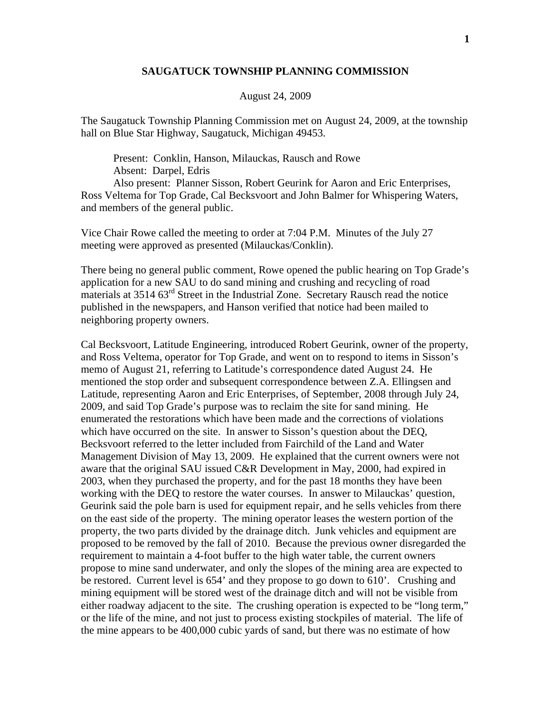## **SAUGATUCK TOWNSHIP PLANNING COMMISSION**

## August 24, 2009

The Saugatuck Township Planning Commission met on August 24, 2009, at the township hall on Blue Star Highway, Saugatuck, Michigan 49453.

 Present: Conklin, Hanson, Milauckas, Rausch and Rowe Absent: Darpel, Edris Also present: Planner Sisson, Robert Geurink for Aaron and Eric Enterprises, Ross Veltema for Top Grade, Cal Becksvoort and John Balmer for Whispering Waters, and members of the general public.

Vice Chair Rowe called the meeting to order at 7:04 P.M. Minutes of the July 27 meeting were approved as presented (Milauckas/Conklin).

There being no general public comment, Rowe opened the public hearing on Top Grade's application for a new SAU to do sand mining and crushing and recycling of road materials at 3514 63<sup>rd</sup> Street in the Industrial Zone. Secretary Rausch read the notice published in the newspapers, and Hanson verified that notice had been mailed to neighboring property owners.

Cal Becksvoort, Latitude Engineering, introduced Robert Geurink, owner of the property, and Ross Veltema, operator for Top Grade, and went on to respond to items in Sisson's memo of August 21, referring to Latitude's correspondence dated August 24. He mentioned the stop order and subsequent correspondence between Z.A. Ellingsen and Latitude, representing Aaron and Eric Enterprises, of September, 2008 through July 24, 2009, and said Top Grade's purpose was to reclaim the site for sand mining. He enumerated the restorations which have been made and the corrections of violations which have occurred on the site. In answer to Sisson's question about the DEQ, Becksvoort referred to the letter included from Fairchild of the Land and Water Management Division of May 13, 2009. He explained that the current owners were not aware that the original SAU issued C&R Development in May, 2000, had expired in 2003, when they purchased the property, and for the past 18 months they have been working with the DEQ to restore the water courses. In answer to Milauckas' question, Geurink said the pole barn is used for equipment repair, and he sells vehicles from there on the east side of the property. The mining operator leases the western portion of the property, the two parts divided by the drainage ditch. Junk vehicles and equipment are proposed to be removed by the fall of 2010. Because the previous owner disregarded the requirement to maintain a 4-foot buffer to the high water table, the current owners propose to mine sand underwater, and only the slopes of the mining area are expected to be restored. Current level is 654' and they propose to go down to 610'. Crushing and mining equipment will be stored west of the drainage ditch and will not be visible from either roadway adjacent to the site. The crushing operation is expected to be "long term," or the life of the mine, and not just to process existing stockpiles of material. The life of the mine appears to be 400,000 cubic yards of sand, but there was no estimate of how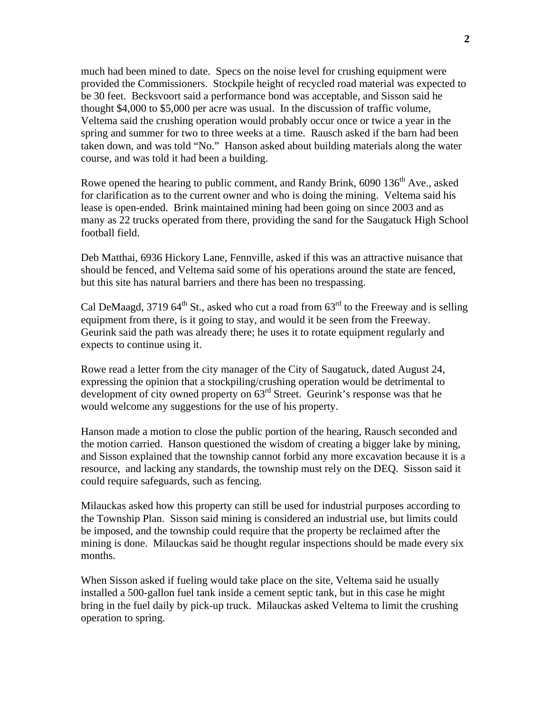much had been mined to date. Specs on the noise level for crushing equipment were provided the Commissioners. Stockpile height of recycled road material was expected to be 30 feet. Becksvoort said a performance bond was acceptable, and Sisson said he thought \$4,000 to \$5,000 per acre was usual. In the discussion of traffic volume, Veltema said the crushing operation would probably occur once or twice a year in the spring and summer for two to three weeks at a time. Rausch asked if the barn had been taken down, and was told "No." Hanson asked about building materials along the water course, and was told it had been a building.

Rowe opened the hearing to public comment, and Randy Brink, 6090 136<sup>th</sup> Ave., asked for clarification as to the current owner and who is doing the mining. Veltema said his lease is open-ended. Brink maintained mining had been going on since 2003 and as many as 22 trucks operated from there, providing the sand for the Saugatuck High School football field.

Deb Matthai, 6936 Hickory Lane, Fennville, asked if this was an attractive nuisance that should be fenced, and Veltema said some of his operations around the state are fenced, but this site has natural barriers and there has been no trespassing.

Cal DeMaagd, 3719 64<sup>th</sup> St., asked who cut a road from  $63<sup>rd</sup>$  to the Freeway and is selling equipment from there, is it going to stay, and would it be seen from the Freeway. Geurink said the path was already there; he uses it to rotate equipment regularly and expects to continue using it.

Rowe read a letter from the city manager of the City of Saugatuck, dated August 24, expressing the opinion that a stockpiling/crushing operation would be detrimental to development of city owned property on  $63<sup>rd</sup>$  Street. Geurink's response was that he would welcome any suggestions for the use of his property.

Hanson made a motion to close the public portion of the hearing, Rausch seconded and the motion carried. Hanson questioned the wisdom of creating a bigger lake by mining, and Sisson explained that the township cannot forbid any more excavation because it is a resource, and lacking any standards, the township must rely on the DEQ. Sisson said it could require safeguards, such as fencing.

Milauckas asked how this property can still be used for industrial purposes according to the Township Plan. Sisson said mining is considered an industrial use, but limits could be imposed, and the township could require that the property be reclaimed after the mining is done. Milauckas said he thought regular inspections should be made every six months.

When Sisson asked if fueling would take place on the site, Veltema said he usually installed a 500-gallon fuel tank inside a cement septic tank, but in this case he might bring in the fuel daily by pick-up truck. Milauckas asked Veltema to limit the crushing operation to spring.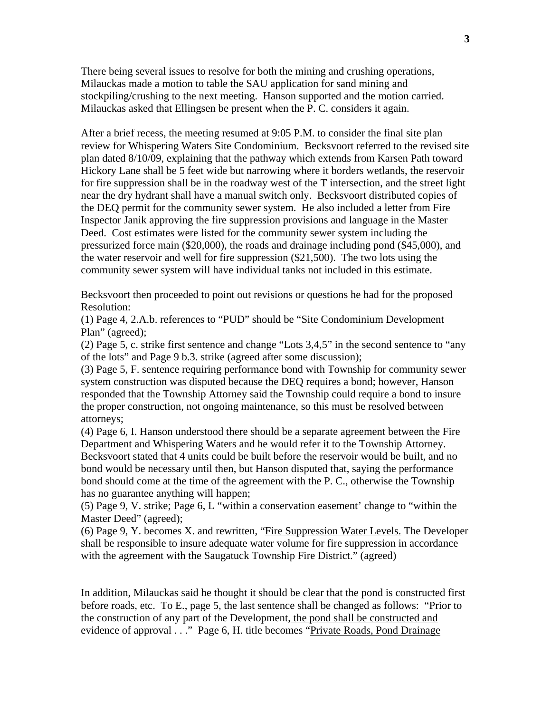There being several issues to resolve for both the mining and crushing operations, Milauckas made a motion to table the SAU application for sand mining and stockpiling/crushing to the next meeting. Hanson supported and the motion carried. Milauckas asked that Ellingsen be present when the P. C. considers it again.

After a brief recess, the meeting resumed at 9:05 P.M. to consider the final site plan review for Whispering Waters Site Condominium. Becksvoort referred to the revised site plan dated 8/10/09, explaining that the pathway which extends from Karsen Path toward Hickory Lane shall be 5 feet wide but narrowing where it borders wetlands, the reservoir for fire suppression shall be in the roadway west of the T intersection, and the street light near the dry hydrant shall have a manual switch only. Becksvoort distributed copies of the DEQ permit for the community sewer system. He also included a letter from Fire Inspector Janik approving the fire suppression provisions and language in the Master Deed. Cost estimates were listed for the community sewer system including the pressurized force main (\$20,000), the roads and drainage including pond (\$45,000), and the water reservoir and well for fire suppression (\$21,500). The two lots using the community sewer system will have individual tanks not included in this estimate.

Becksvoort then proceeded to point out revisions or questions he had for the proposed Resolution:

(1) Page 4, 2.A.b. references to "PUD" should be "Site Condominium Development Plan" (agreed);

(2) Page 5, c. strike first sentence and change "Lots 3,4,5" in the second sentence to "any of the lots" and Page 9 b.3. strike (agreed after some discussion);

(3) Page 5, F. sentence requiring performance bond with Township for community sewer system construction was disputed because the DEQ requires a bond; however, Hanson responded that the Township Attorney said the Township could require a bond to insure the proper construction, not ongoing maintenance, so this must be resolved between attorneys;

(4) Page 6, I. Hanson understood there should be a separate agreement between the Fire Department and Whispering Waters and he would refer it to the Township Attorney. Becksvoort stated that 4 units could be built before the reservoir would be built, and no bond would be necessary until then, but Hanson disputed that, saying the performance bond should come at the time of the agreement with the P. C., otherwise the Township has no guarantee anything will happen;

(5) Page 9, V. strike; Page 6, L "within a conservation easement' change to "within the Master Deed" (agreed);

(6) Page 9, Y. becomes X. and rewritten, "Fire Suppression Water Levels. The Developer shall be responsible to insure adequate water volume for fire suppression in accordance with the agreement with the Saugatuck Township Fire District." (agreed)

In addition, Milauckas said he thought it should be clear that the pond is constructed first before roads, etc. To E., page 5, the last sentence shall be changed as follows: "Prior to the construction of any part of the Development, the pond shall be constructed and evidence of approval . . ." Page 6, H. title becomes "Private Roads, Pond Drainage